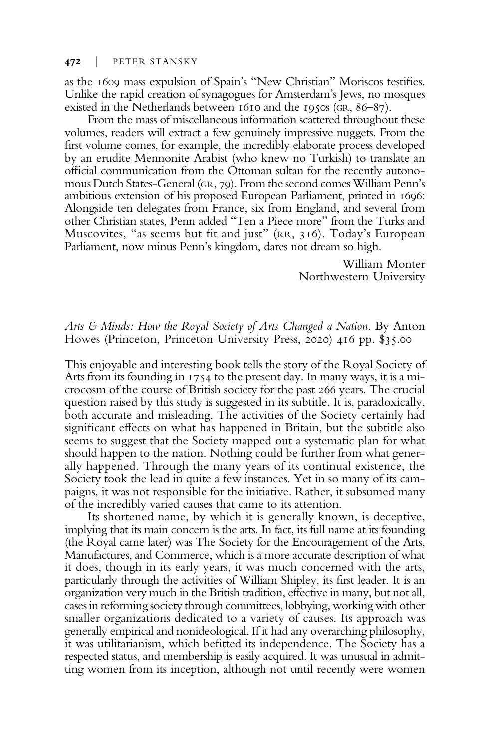## 472 | PETER STANSKY

as the 1609 mass expulsion of Spain's "New Christian" Moriscos testifies. Unlike the rapid creation of synagogues for Amsterdam's Jews, no mosques existed in the Netherlands between 1610 and the 1950s (GR, 86–87).

From the mass of miscellaneous information scattered throughout these volumes, readers will extract a few genuinely impressive nuggets. From the first volume comes, for example, the incredibly elaborate process developed by an erudite Mennonite Arabist (who knew no Turkish) to translate an official communication from the Ottoman sultan for the recently autonomous Dutch States-General (GR, 79). From the second comes William Penn's ambitious extension of his proposed European Parliament, printed in 1696: Alongside ten delegates from France, six from England, and several from other Christian states, Penn added "Ten a Piece more" from the Turks and Muscovites, "as seems but fit and just" (RR, 316). Today's European Parliament, now minus Penn's kingdom, dares not dream so high.

> William Monter Northwestern University

## Arts & Minds: How the Royal Society of Arts Changed a Nation. By Anton Howes (Princeton, Princeton University Press, 2020) 416 pp. \$35.00

This enjoyable and interesting book tells the story of the Royal Society of Arts from its founding in 1754 to the present day. In many ways, it is a microcosm of the course of British society for the past 266 years. The crucial question raised by this study is suggested in its subtitle. It is, paradoxically, both accurate and misleading. The activities of the Society certainly had significant effects on what has happened in Britain, but the subtitle also seems to suggest that the Society mapped out a systematic plan for what should happen to the nation. Nothing could be further from what generally happened. Through the many years of its continual existence, the Society took the lead in quite a few instances. Yet in so many of its campaigns, it was not responsible for the initiative. Rather, it subsumed many of the incredibly varied causes that came to its attention.

Its shortened name, by which it is generally known, is deceptive, implying that its main concern is the arts. In fact, its full name at its founding (the Royal came later) was The Society for the Encouragement of the Arts, Manufactures, and Commerce, which is a more accurate description of what it does, though in its early years, it was much concerned with the arts, particularly through the activities of William Shipley, its first leader. It is an organization very much in the British tradition, effective in many, but not all, cases in reforming society through committees, lobbying, working with other smaller organizations dedicated to a variety of causes. Its approach was generally empirical and nonideological. If it had any overarching philosophy, it was utilitarianism, which befitted its independence. The Society has a respected status, and membership is easily acquired. It was unusual in admitting women from its inception, although not until recently were women